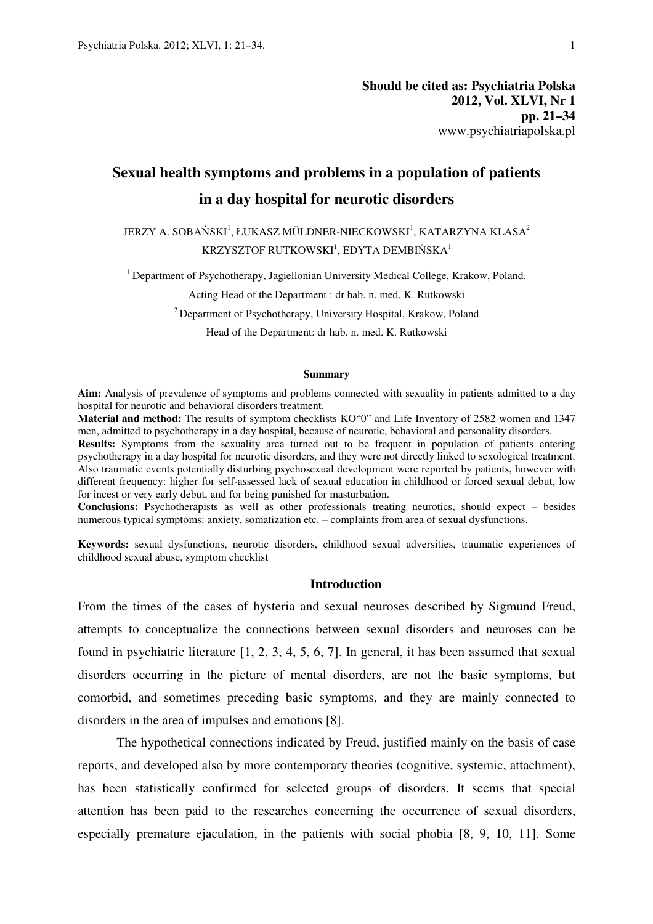**Should be cited as: Psychiatria Polska 2012, Vol. XLVI, Nr 1 pp. 21–34**  www.psychiatriapolska.pl

# **Sexual health symptoms and problems in a population of patients in a day hospital for neurotic disorders**

 ${\rm JERZY}$  A. SOBAŃSKI $^1$ , ŁUKASZ MÜLDNER-NIECKOWSKI $^1$ , KATARZYNA KLASA $^2$ KRZYSZTOF RUTKOWSKI $^{\rm l}$ , EDYTA DEMBIŃSKA $^{\rm l}$ 

<sup>1</sup> Department of Psychotherapy, Jagiellonian University Medical College, Krakow, Poland.

Acting Head of the Department : dr hab. n. med. K. Rutkowski

<sup>2</sup> Department of Psychotherapy, University Hospital, Krakow, Poland

Head of the Department: dr hab. n. med. K. Rutkowski

#### **Summary**

**Aim:** Analysis of prevalence of symptoms and problems connected with sexuality in patients admitted to a day hospital for neurotic and behavioral disorders treatment.

**Material and method:** The results of symptom checklists KO"0" and Life Inventory of 2582 women and 1347 men, admitted to psychotherapy in a day hospital, because of neurotic, behavioral and personality disorders.

**Results:** Symptoms from the sexuality area turned out to be frequent in population of patients entering psychotherapy in a day hospital for neurotic disorders, and they were not directly linked to sexological treatment. Also traumatic events potentially disturbing psychosexual development were reported by patients, however with different frequency: higher for self-assessed lack of sexual education in childhood or forced sexual debut, low for incest or very early debut, and for being punished for masturbation.

**Conclusions:** Psychotherapists as well as other professionals treating neurotics, should expect – besides numerous typical symptoms: anxiety, somatization etc. – complaints from area of sexual dysfunctions.

**Keywords:** sexual dysfunctions, neurotic disorders, childhood sexual adversities, traumatic experiences of childhood sexual abuse, symptom checklist

### **Introduction**

From the times of the cases of hysteria and sexual neuroses described by Sigmund Freud, attempts to conceptualize the connections between sexual disorders and neuroses can be found in psychiatric literature [1, 2, 3, 4, 5, 6, 7]. In general, it has been assumed that sexual disorders occurring in the picture of mental disorders, are not the basic symptoms, but comorbid, and sometimes preceding basic symptoms, and they are mainly connected to disorders in the area of impulses and emotions [8].

 The hypothetical connections indicated by Freud, justified mainly on the basis of case reports, and developed also by more contemporary theories (cognitive, systemic, attachment), has been statistically confirmed for selected groups of disorders. It seems that special attention has been paid to the researches concerning the occurrence of sexual disorders, especially premature ejaculation, in the patients with social phobia [8, 9, 10, 11]. Some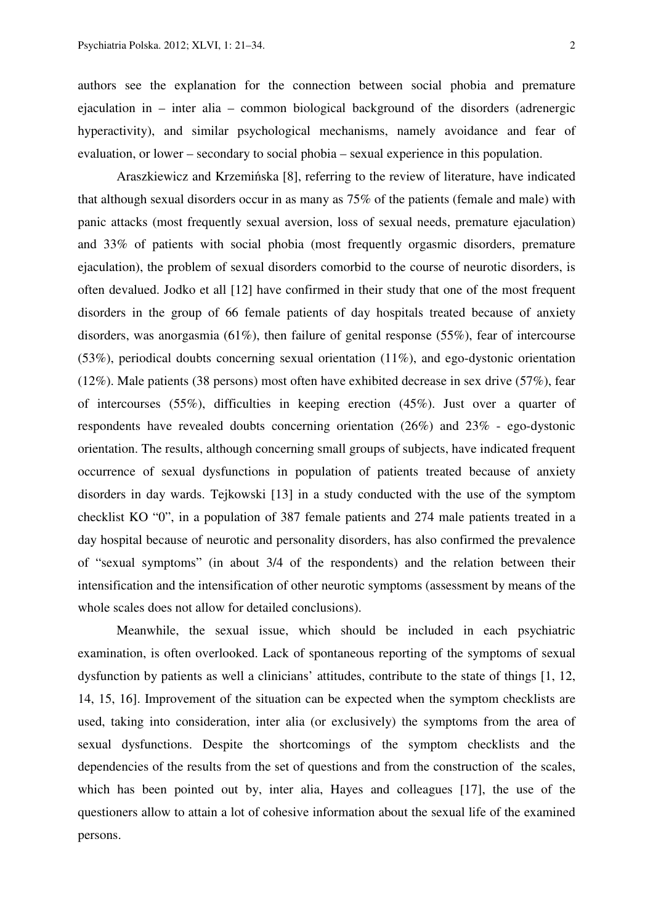authors see the explanation for the connection between social phobia and premature ejaculation in – inter alia – common biological background of the disorders (adrenergic hyperactivity), and similar psychological mechanisms, namely avoidance and fear of evaluation, or lower – secondary to social phobia – sexual experience in this population.

Araszkiewicz and Krzemińska [8], referring to the review of literature, have indicated that although sexual disorders occur in as many as 75% of the patients (female and male) with panic attacks (most frequently sexual aversion, loss of sexual needs, premature ejaculation) and 33% of patients with social phobia (most frequently orgasmic disorders, premature ejaculation), the problem of sexual disorders comorbid to the course of neurotic disorders, is often devalued. Jodko et all [12] have confirmed in their study that one of the most frequent disorders in the group of 66 female patients of day hospitals treated because of anxiety disorders, was anorgasmia (61%), then failure of genital response (55%), fear of intercourse (53%), periodical doubts concerning sexual orientation (11%), and ego-dystonic orientation (12%). Male patients (38 persons) most often have exhibited decrease in sex drive (57%), fear of intercourses (55%), difficulties in keeping erection (45%). Just over a quarter of respondents have revealed doubts concerning orientation (26%) and 23% - ego-dystonic orientation. The results, although concerning small groups of subjects, have indicated frequent occurrence of sexual dysfunctions in population of patients treated because of anxiety disorders in day wards. Tejkowski [13] in a study conducted with the use of the symptom checklist KO "0", in a population of 387 female patients and 274 male patients treated in a day hospital because of neurotic and personality disorders, has also confirmed the prevalence of "sexual symptoms" (in about 3/4 of the respondents) and the relation between their intensification and the intensification of other neurotic symptoms (assessment by means of the whole scales does not allow for detailed conclusions).

Meanwhile, the sexual issue, which should be included in each psychiatric examination, is often overlooked. Lack of spontaneous reporting of the symptoms of sexual dysfunction by patients as well a clinicians' attitudes, contribute to the state of things [1, 12, 14, 15, 16]. Improvement of the situation can be expected when the symptom checklists are used, taking into consideration, inter alia (or exclusively) the symptoms from the area of sexual dysfunctions. Despite the shortcomings of the symptom checklists and the dependencies of the results from the set of questions and from the construction of the scales, which has been pointed out by, inter alia, Hayes and colleagues [17], the use of the questioners allow to attain a lot of cohesive information about the sexual life of the examined persons.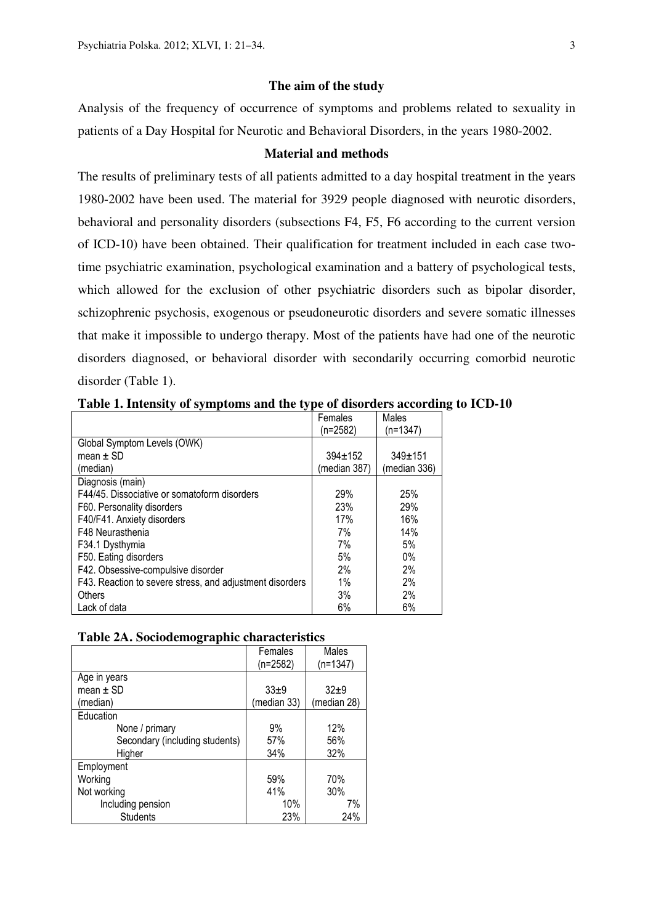#### **The aim of the study**

Analysis of the frequency of occurrence of symptoms and problems related to sexuality in patients of a Day Hospital for Neurotic and Behavioral Disorders, in the years 1980-2002.

## **Material and methods**

The results of preliminary tests of all patients admitted to a day hospital treatment in the years 1980-2002 have been used. The material for 3929 people diagnosed with neurotic disorders, behavioral and personality disorders (subsections F4, F5, F6 according to the current version of ICD-10) have been obtained. Their qualification for treatment included in each case twotime psychiatric examination, psychological examination and a battery of psychological tests, which allowed for the exclusion of other psychiatric disorders such as bipolar disorder, schizophrenic psychosis, exogenous or pseudoneurotic disorders and severe somatic illnesses that make it impossible to undergo therapy. Most of the patients have had one of the neurotic disorders diagnosed, or behavioral disorder with secondarily occurring comorbid neurotic disorder (Table 1).

|                                                          | Females<br>(n=2582) | Males<br>$(n=1347)$ |
|----------------------------------------------------------|---------------------|---------------------|
| Global Symptom Levels (OWK)                              |                     |                     |
| mean $\pm$ SD                                            | $394 \pm 152$       | $349 + 151$         |
| (median)                                                 | (median 387)        | (median 336)        |
| Diagnosis (main)                                         |                     |                     |
| F44/45. Dissociative or somatoform disorders             | 29%                 | 25%                 |
| F60. Personality disorders                               | 23%                 | 29%                 |
| F40/F41. Anxiety disorders                               | 17%                 | 16%                 |
| F48 Neurasthenia                                         | 7%                  | 14%                 |
| F34.1 Dysthymia                                          | 7%                  | 5%                  |
| F50. Eating disorders                                    | 5%                  | $0\%$               |
| F42. Obsessive-compulsive disorder                       | 2%                  | 2%                  |
| F43. Reaction to severe stress, and adjustment disorders | $1\%$               | 2%                  |
| Others                                                   | 3%                  | 2%                  |
| Lack of data                                             | 6%                  | 6%                  |

**Table 1. Intensity of symptoms and the type of disorders according to ICD-10** 

|  |  |  | Table 2A. Sociodemographic characteristics |
|--|--|--|--------------------------------------------|
|  |  |  |                                            |

| o                              |             |             |
|--------------------------------|-------------|-------------|
|                                | Females     | Males       |
|                                | (n=2582)    | (n=1347)    |
| Age in years                   |             |             |
| mean $\pm$ SD                  | $33+9$      | $32+9$      |
| (median)                       | (median 33) | (median 28) |
| Education                      |             |             |
| None / primary                 | 9%          | 12%         |
| Secondary (including students) | 57%         | 56%         |
| Higher                         | 34%         | 32%         |
| Employment                     |             |             |
| Working                        | 59%         | 70%         |
| Not working                    | 41%         | 30%         |
| Including pension              | 10%         | 7%          |
| <b>Students</b>                | 23%         | 24%         |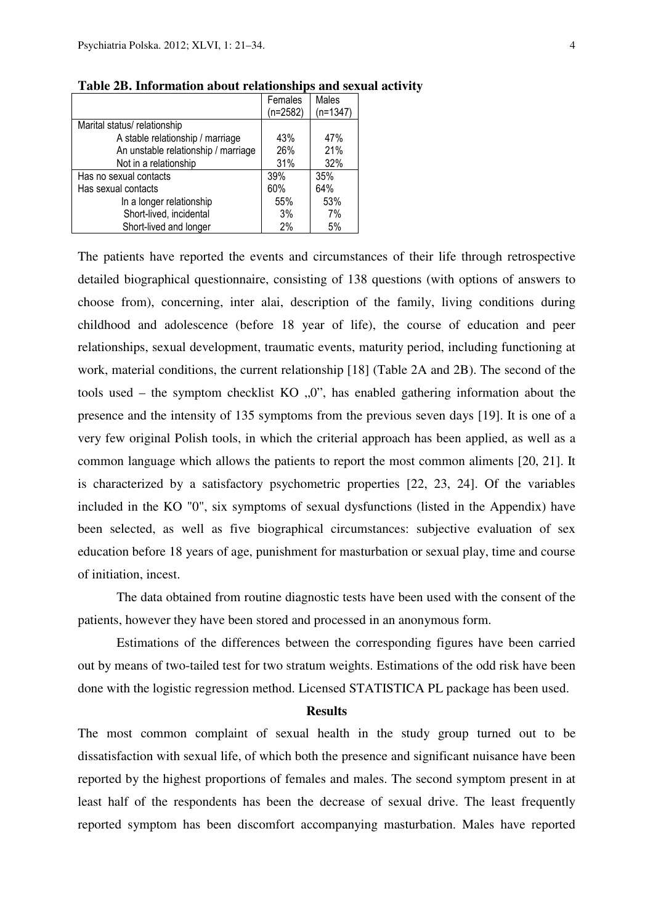|                                     | Females<br>$(n=2582)$ | Males<br>$(n=1347)$ |
|-------------------------------------|-----------------------|---------------------|
| Marital status/ relationship        |                       |                     |
| A stable relationship / marriage    | 43%                   | 47%                 |
| An unstable relationship / marriage | 26%                   | 21%                 |
| Not in a relationship               | 31%                   | 32%                 |
| Has no sexual contacts              | 39%                   | 35%                 |
| Has sexual contacts                 | 60%                   | 64%                 |
| In a longer relationship            | 55%                   | 53%                 |
| Short-lived, incidental             | 3%                    | 7%                  |
| Short-lived and longer              | 2%                    | 5%                  |

**Table 2B. Information about relationships and sexual activity** 

The patients have reported the events and circumstances of their life through retrospective detailed biographical questionnaire, consisting of 138 questions (with options of answers to choose from), concerning, inter alai, description of the family, living conditions during childhood and adolescence (before 18 year of life), the course of education and peer relationships, sexual development, traumatic events, maturity period, including functioning at work, material conditions, the current relationship [18] (Table 2A and 2B). The second of the tools used – the symptom checklist KO  $, 0$ ", has enabled gathering information about the presence and the intensity of 135 symptoms from the previous seven days [19]. It is one of a very few original Polish tools, in which the criterial approach has been applied, as well as a common language which allows the patients to report the most common aliments [20, 21]. It is characterized by a satisfactory psychometric properties [22, 23, 24]. Of the variables included in the KO "0", six symptoms of sexual dysfunctions (listed in the Appendix) have been selected, as well as five biographical circumstances: subjective evaluation of sex education before 18 years of age, punishment for masturbation or sexual play, time and course of initiation, incest.

The data obtained from routine diagnostic tests have been used with the consent of the patients, however they have been stored and processed in an anonymous form.

Estimations of the differences between the corresponding figures have been carried out by means of two-tailed test for two stratum weights. Estimations of the odd risk have been done with the logistic regression method. Licensed STATISTICA PL package has been used.

#### **Results**

The most common complaint of sexual health in the study group turned out to be dissatisfaction with sexual life, of which both the presence and significant nuisance have been reported by the highest proportions of females and males. The second symptom present in at least half of the respondents has been the decrease of sexual drive. The least frequently reported symptom has been discomfort accompanying masturbation. Males have reported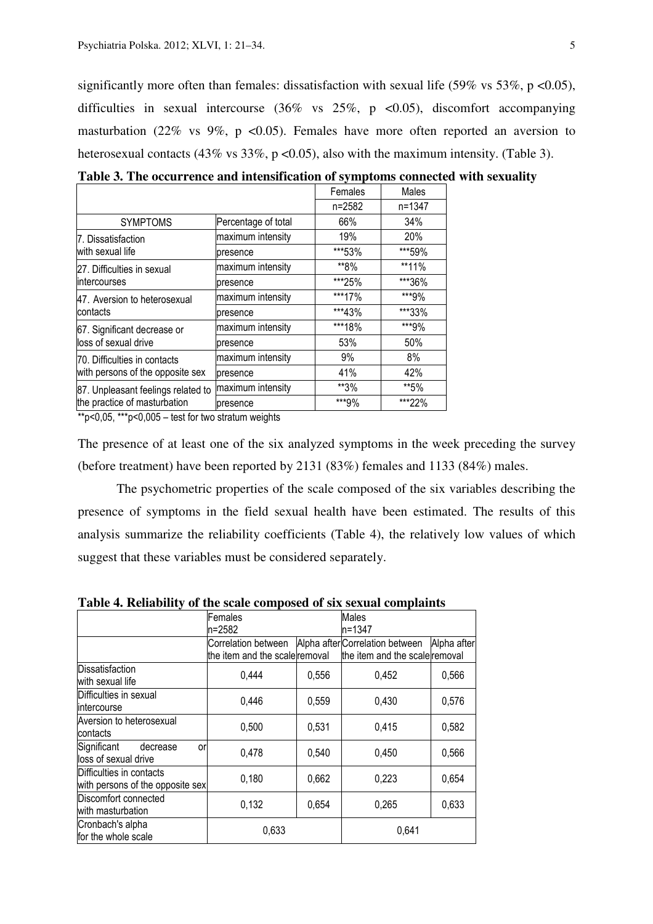significantly more often than females: dissatisfaction with sexual life (59% vs 53%, p <0.05), difficulties in sexual intercourse  $(36\%$  vs  $25\%$ , p <0.05), discomfort accompanying masturbation (22% vs 9%, p <0.05). Females have more often reported an aversion to heterosexual contacts (43% vs 33%, p <0.05), also with the maximum intensity. (Table 3).

|                                    |                     | Females    | Males  |
|------------------------------------|---------------------|------------|--------|
|                                    |                     | $n = 2582$ | n=1347 |
| <b>SYMPTOMS</b>                    | Percentage of total | 66%        | 34%    |
| 7. Dissatisfaction                 | maximum intensity   | 19%        | 20%    |
| with sexual life                   | presence            | ***53%     | ***59% |
| 27. Difficulties in sexual         | maximum intensity   | **8%       | **11%  |
| intercourses                       | presence            | ***25%     | ***36% |
| 47. Aversion to heterosexual       | maximum intensity   | ***17%     | ***9%  |
| contacts                           | presence            | ***43%     | ***33% |
| 67. Significant decrease or        | maximum intensity   | ***18%     | ***9%  |
| loss of sexual drive               | presence            | 53%        | 50%    |
| 70. Difficulties in contacts       | maximum intensity   | 9%         | 8%     |
| with persons of the opposite sex   | presence            | 41%        | 42%    |
| 87. Unpleasant feelings related to | maximum intensity   | **3%       | **5%   |
| the practice of masturbation       | presence            | ***9%      | ***22% |

**Table 3. The occurrence and intensification of symptoms connected with sexuality** 

 $*p<0.05$ ,  $**p<0.005$  – test for two stratum weights

The presence of at least one of the six analyzed symptoms in the week preceding the survey (before treatment) have been reported by 2131 (83%) females and 1133 (84%) males.

The psychometric properties of the scale composed of the six variables describing the presence of symptoms in the field sexual health have been estimated. The results of this analysis summarize the reliability coefficients (Table 4), the relatively low values of which suggest that these variables must be considered separately.

**Table 4. Reliability of the scale composed of six sexual complaints** 

|                                                              | Females<br>n=2582              |       | Males<br>n=1347                 |             |  |
|--------------------------------------------------------------|--------------------------------|-------|---------------------------------|-------------|--|
|                                                              | Correlation between            |       | Alpha after Correlation between | Alpha after |  |
|                                                              | the item and the scale removal |       | the item and the scale removal  |             |  |
| Dissatisfaction<br>with sexual life                          | 0,444                          | 0,556 | 0,452                           | 0,566       |  |
| Difficulties in sexual<br>intercourse                        | 0,446                          | 0,559 | 0,430                           | 0,576       |  |
| Aversion to heterosexual<br>contacts                         | 0,500                          | 0,531 | 0,415                           | 0,582       |  |
| Significant<br>decrease<br>or<br>loss of sexual drive        | 0,478                          | 0,540 | 0,450                           | 0,566       |  |
| Difficulties in contacts<br>with persons of the opposite sex | 0.180                          | 0,662 | 0,223                           | 0,654       |  |
| Discomfort connected<br>with masturbation                    | 0,132                          | 0,654 | 0,265                           | 0,633       |  |
| Cronbach's alpha<br>for the whole scale                      | 0,633                          |       | 0,641                           |             |  |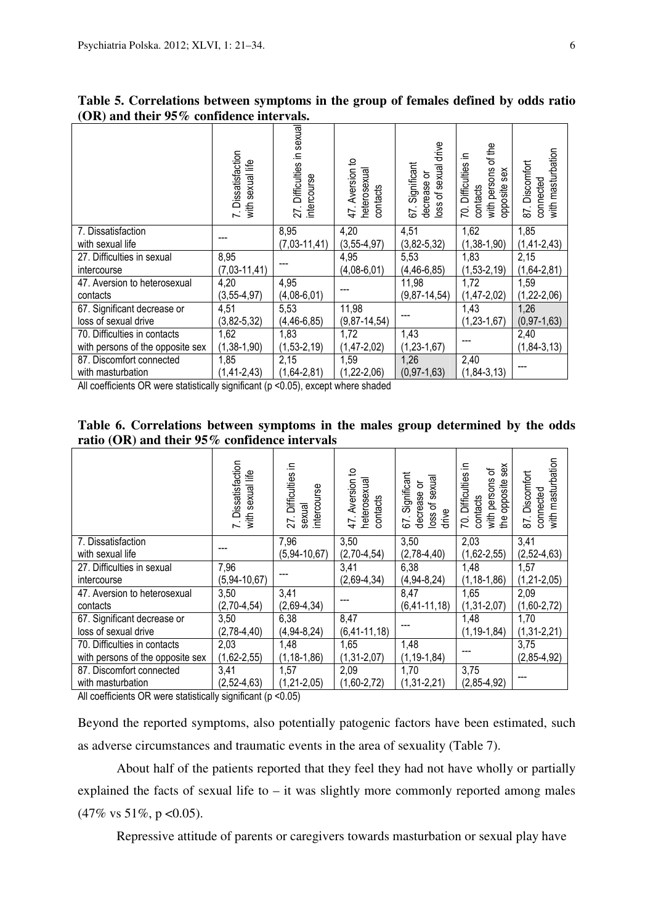|                                  | 7. Dissatisfaction<br>sexual life<br>with | Difficulties in sexual<br>intercourse<br>27 | Aversion to<br>heterosexua<br>contacts<br>47 | drive<br>Significant<br>loss of sexual<br>decrease or<br>5 | of the<br>70. Difficulties in<br>with persons<br>sex<br>opposite:<br>contacts | with masturbation<br>Discomfort<br>connected<br>87. |
|----------------------------------|-------------------------------------------|---------------------------------------------|----------------------------------------------|------------------------------------------------------------|-------------------------------------------------------------------------------|-----------------------------------------------------|
| 7. Dissatisfaction               |                                           | 8,95                                        | 4,20                                         | 4,51                                                       | 1,62                                                                          | 1,85                                                |
| with sexual life                 |                                           | $(7,03-11,41)$                              | $(3, 55 - 4, 97)$                            | $(3,82-5,32)$                                              | $(1, 38 - 1, 90)$                                                             | $(1, 41 - 2, 43)$                                   |
| 27. Difficulties in sexual       | 8,95                                      |                                             | 4,95                                         | 5,53                                                       | 1,83                                                                          | 2,15                                                |
| intercourse                      | $(7,03-11,41)$                            |                                             | $(4,08-6,01)$                                | $(4, 46-6, 85)$                                            | $(1,53-2,19)$                                                                 | $(1,64-2,81)$                                       |
| 47. Aversion to heterosexual     | 4,20                                      | 4,95                                        |                                              | 11,98                                                      | 1,72                                                                          | 1,59                                                |
| contacts                         | $(3, 55-4, 97)$                           | $(4,08-6,01)$                               |                                              | $(9, 87 - 14, 54)$                                         | $(1, 47 - 2, 02)$                                                             | $(1, 22 - 2, 06)$                                   |
| 67. Significant decrease or      | 4,51                                      | 5,53                                        | 11,98                                        |                                                            | 1,43                                                                          | 1,26                                                |
| loss of sexual drive             | $(3,82-5,32)$                             | $(4, 46-6, 85)$                             | $(9,87-14,54)$                               |                                                            | $(1, 23 - 1, 67)$                                                             | $(0, 97 - 1, 63)$                                   |
| 70. Difficulties in contacts     | 1,62                                      | 1,83                                        | 1,72                                         | 1,43                                                       |                                                                               | 2,40                                                |
| with persons of the opposite sex | $(1, 38 - 1, 90)$                         | $(1,53-2,19)$                               | $(1, 47 - 2, 02)$                            | $(1, 23 - 1, 67)$                                          |                                                                               | $(1, 84 - 3, 13)$                                   |
| 87. Discomfort connected         | 1,85                                      | 2,15                                        | 1,59                                         | 1,26                                                       | 2,40                                                                          |                                                     |
| with masturbation                | $(1, 41 - 2, 43)$                         | $,64-2,81)$                                 | $(1, 22 - 2, 06)$                            | $(0, 97 - 1, 63)$                                          | $(1, 84 - 3, 13)$                                                             |                                                     |

**Table 5. Correlations between symptoms in the group of females defined by odds ratio (OR) and their 95% confidence intervals.** 

All coefficients OR were statistically significant (p <0.05), except where shaded

| Table 6. Correlations between symptoms in the males group determined by the odds |  |  |  |  |  |
|----------------------------------------------------------------------------------|--|--|--|--|--|
| ratio (OR) and their $95\%$ confidence intervals                                 |  |  |  |  |  |

|                                  | 7. Dissatisfaction<br>with sexual life | Difficulties in<br>intercourse<br>sexual<br>27. | Aversion to<br>heterosexual<br>contacts<br>47. | Significant<br>sexual<br>decrease or<br>loss of s<br>drive<br>5 | 70. Difficulties in<br>sex<br>with persons of<br>opposite<br>contacts<br>₽₽ | with masturbation<br>Discomfort<br>connected<br>87. |
|----------------------------------|----------------------------------------|-------------------------------------------------|------------------------------------------------|-----------------------------------------------------------------|-----------------------------------------------------------------------------|-----------------------------------------------------|
| 7. Dissatisfaction               |                                        | 7,96                                            | 3,50                                           | 3,50                                                            | 2,03                                                                        | 3,41                                                |
| with sexual life                 |                                        | $(5,94-10,67)$                                  | $(2,70-4,54)$                                  | $(2,78-4,40)$                                                   | $(1,62-2,55)$                                                               | $(2,52-4,63)$                                       |
| 27. Difficulties in sexual       | 7,96                                   |                                                 | 3,41                                           | 6,38                                                            | 1,48                                                                        | 1,57                                                |
| intercourse                      | $(5,94-10,67)$                         |                                                 | $(2,69-4,34)$                                  | $(4, 94 - 8, 24)$                                               | $(1, 18 - 1, 86)$                                                           | $(1, 21 - 2, 05)$                                   |
| 47. Aversion to heterosexual     | 3,50                                   | 3,41                                            |                                                | 8,47                                                            | 1,65                                                                        | 2,09                                                |
| contacts                         | $(2,70-4,54)$                          | $(2,69-4,34)$                                   |                                                | $(6, 41 - 11, 18)$                                              | $(1,31-2,07)$                                                               | $(1,60-2,72)$                                       |
| 67. Significant decrease or      | 3,50                                   | 6,38                                            | 8,47                                           |                                                                 | 1,48                                                                        | 1,70                                                |
| loss of sexual drive             | $(2,78-4,40)$                          | $(4, 94 - 8, 24)$                               | $(6, 41 - 11, 18)$                             |                                                                 | $(1, 19-1, 84)$                                                             | $(1, 31 - 2, 21)$                                   |
| 70. Difficulties in contacts     | 2,03                                   | 1,48                                            | 1,65                                           | 1,48                                                            |                                                                             | 3,75                                                |
| with persons of the opposite sex | $(1,62-2,55)$                          | $(1, 18 - 1, 86)$                               | $(1, 31 - 2, 07)$                              | $(1, 19-1, 84)$                                                 |                                                                             | $(2, 85 - 4, 92)$                                   |
| 87. Discomfort connected         | 3,41                                   | 1,57                                            | 2,09                                           | 1,70                                                            | 3,75                                                                        |                                                     |
| with masturbation                | $(2,52-4,63)$                          | $(1, 21 - 2, 05)$                               | $(1,60-2,72)$                                  | $(1, 31 - 2, 21)$                                               | $(2, 85 - 4, 92)$                                                           |                                                     |

All coefficients OR were statistically significant (p <0.05)

Beyond the reported symptoms, also potentially patogenic factors have been estimated, such as adverse circumstances and traumatic events in the area of sexuality (Table 7).

About half of the patients reported that they feel they had not have wholly or partially explained the facts of sexual life to  $-$  it was slightly more commonly reported among males  $(47\% \text{ vs } 51\%, \text{ p } < 0.05)$ .

Repressive attitude of parents or caregivers towards masturbation or sexual play have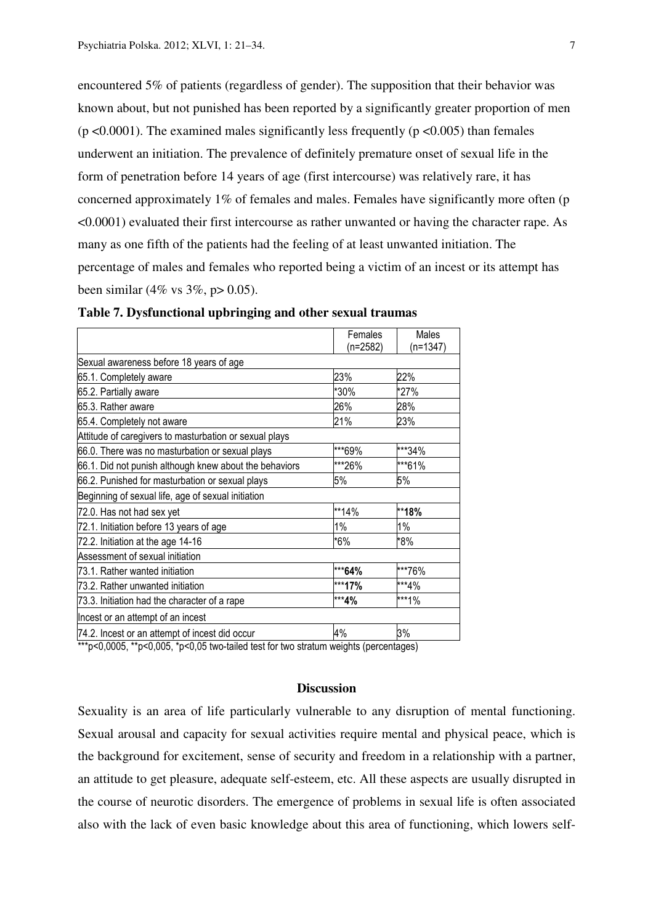encountered 5% of patients (regardless of gender). The supposition that their behavior was known about, but not punished has been reported by a significantly greater proportion of men ( $p$  <0.0001). The examined males significantly less frequently ( $p$  <0.005) than females underwent an initiation. The prevalence of definitely premature onset of sexual life in the form of penetration before 14 years of age (first intercourse) was relatively rare, it has concerned approximately 1% of females and males. Females have significantly more often (p <0.0001) evaluated their first intercourse as rather unwanted or having the character rape. As many as one fifth of the patients had the feeling of at least unwanted initiation. The percentage of males and females who reported being a victim of an incest or its attempt has been similar (4% vs  $3\%$ , p $> 0.05$ ).

|                                                        | Females    | Males      |
|--------------------------------------------------------|------------|------------|
|                                                        | $(n=2582)$ | $(n=1347)$ |
| Sexual awareness before 18 years of age                |            |            |
| 65.1. Completely aware                                 | 23%        | 22%        |
| 65.2. Partially aware                                  | *30%       | *27%       |
| 65.3. Rather aware                                     | 26%        | 28%        |
| 65.4. Completely not aware                             | 21%        | 23%        |
| Attitude of caregivers to masturbation or sexual plays |            |            |
| 66.0. There was no masturbation or sexual plays        | ***69%     | ***34%     |
| 66.1. Did not punish although knew about the behaviors | ***26%     | ***61%     |
| 66.2. Punished for masturbation or sexual plays        | 5%         | 5%         |
| Beginning of sexual life, age of sexual initiation     |            |            |
| 72.0. Has not had sex yet                              | **14%      | **18%      |
| 72.1. Initiation before 13 years of age                | 1%         | 1%         |
| 72.2. Initiation at the age 14-16                      | *6%        | *8%        |
| Assessment of sexual initiation                        |            |            |
| 73.1. Rather wanted initiation                         | ***64%     | ***76%     |
| 73.2. Rather unwanted initiation                       | ***17%     | ***4%      |
| 73.3. Initiation had the character of a rape           | ***4%      | ***1%      |
| Incest or an attempt of an incest                      |            |            |
| 74.2. Incest or an attempt of incest did occur         | 4%         | 3%         |

|  | Table 7. Dysfunctional upbringing and other sexual traumas |  |  |
|--|------------------------------------------------------------|--|--|
|  |                                                            |  |  |

\*\*\*p<0,0005, \*\*p<0,005, \*p<0,05 two-tailed test for two stratum weights (percentages)

#### **Discussion**

Sexuality is an area of life particularly vulnerable to any disruption of mental functioning. Sexual arousal and capacity for sexual activities require mental and physical peace, which is the background for excitement, sense of security and freedom in a relationship with a partner, an attitude to get pleasure, adequate self-esteem, etc. All these aspects are usually disrupted in the course of neurotic disorders. The emergence of problems in sexual life is often associated also with the lack of even basic knowledge about this area of functioning, which lowers self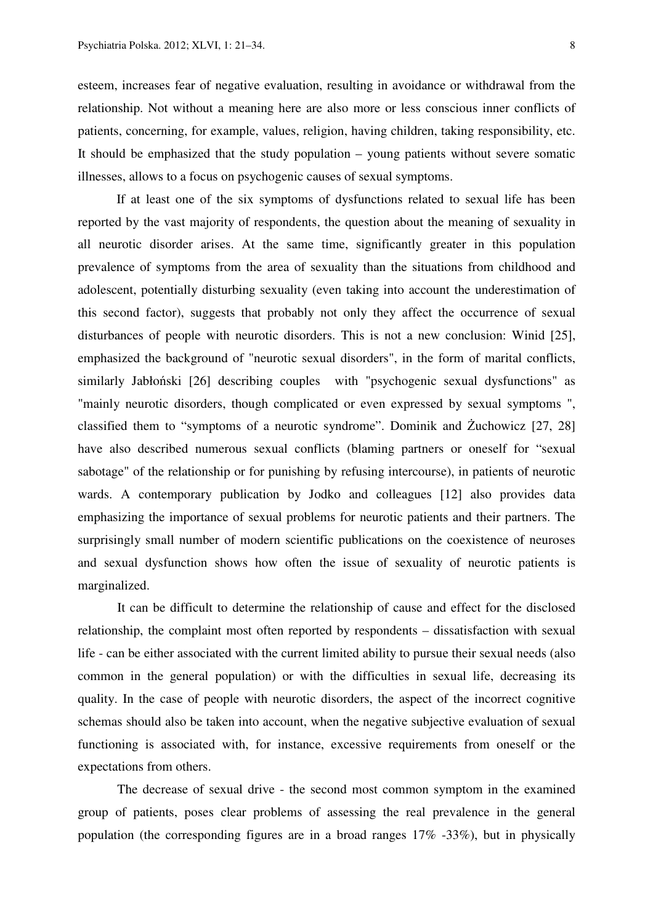esteem, increases fear of negative evaluation, resulting in avoidance or withdrawal from the relationship. Not without a meaning here are also more or less conscious inner conflicts of patients, concerning, for example, values, religion, having children, taking responsibility, etc. It should be emphasized that the study population – young patients without severe somatic illnesses, allows to a focus on psychogenic causes of sexual symptoms.

If at least one of the six symptoms of dysfunctions related to sexual life has been reported by the vast majority of respondents, the question about the meaning of sexuality in all neurotic disorder arises. At the same time, significantly greater in this population prevalence of symptoms from the area of sexuality than the situations from childhood and adolescent, potentially disturbing sexuality (even taking into account the underestimation of this second factor), suggests that probably not only they affect the occurrence of sexual disturbances of people with neurotic disorders. This is not a new conclusion: Winid [25], emphasized the background of "neurotic sexual disorders", in the form of marital conflicts, similarly Jabłoński [26] describing couples with "psychogenic sexual dysfunctions" as "mainly neurotic disorders, though complicated or even expressed by sexual symptoms ", classified them to "symptoms of a neurotic syndrome". Dominik and Żuchowicz [27, 28] have also described numerous sexual conflicts (blaming partners or oneself for "sexual sabotage" of the relationship or for punishing by refusing intercourse), in patients of neurotic wards. A contemporary publication by Jodko and colleagues [12] also provides data emphasizing the importance of sexual problems for neurotic patients and their partners. The surprisingly small number of modern scientific publications on the coexistence of neuroses and sexual dysfunction shows how often the issue of sexuality of neurotic patients is marginalized.

It can be difficult to determine the relationship of cause and effect for the disclosed relationship, the complaint most often reported by respondents – dissatisfaction with sexual life - can be either associated with the current limited ability to pursue their sexual needs (also common in the general population) or with the difficulties in sexual life, decreasing its quality. In the case of people with neurotic disorders, the aspect of the incorrect cognitive schemas should also be taken into account, when the negative subjective evaluation of sexual functioning is associated with, for instance, excessive requirements from oneself or the expectations from others.

The decrease of sexual drive - the second most common symptom in the examined group of patients, poses clear problems of assessing the real prevalence in the general population (the corresponding figures are in a broad ranges  $17\%$  -33%), but in physically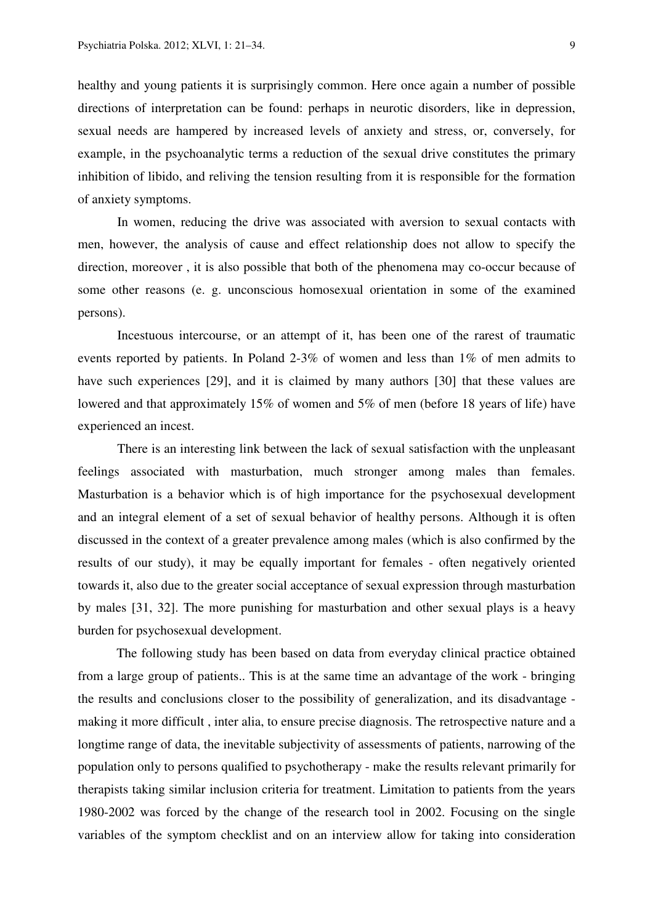healthy and young patients it is surprisingly common. Here once again a number of possible directions of interpretation can be found: perhaps in neurotic disorders, like in depression, sexual needs are hampered by increased levels of anxiety and stress, or, conversely, for example, in the psychoanalytic terms a reduction of the sexual drive constitutes the primary inhibition of libido, and reliving the tension resulting from it is responsible for the formation of anxiety symptoms.

In women, reducing the drive was associated with aversion to sexual contacts with men, however, the analysis of cause and effect relationship does not allow to specify the direction, moreover , it is also possible that both of the phenomena may co-occur because of some other reasons (e. g. unconscious homosexual orientation in some of the examined persons).

Incestuous intercourse, or an attempt of it, has been one of the rarest of traumatic events reported by patients. In Poland 2-3% of women and less than 1% of men admits to have such experiences [29], and it is claimed by many authors [30] that these values are lowered and that approximately 15% of women and 5% of men (before 18 years of life) have experienced an incest.

There is an interesting link between the lack of sexual satisfaction with the unpleasant feelings associated with masturbation, much stronger among males than females. Masturbation is a behavior which is of high importance for the psychosexual development and an integral element of a set of sexual behavior of healthy persons. Although it is often discussed in the context of a greater prevalence among males (which is also confirmed by the results of our study), it may be equally important for females - often negatively oriented towards it, also due to the greater social acceptance of sexual expression through masturbation by males [31, 32]. The more punishing for masturbation and other sexual plays is a heavy burden for psychosexual development.

The following study has been based on data from everyday clinical practice obtained from a large group of patients.. This is at the same time an advantage of the work - bringing the results and conclusions closer to the possibility of generalization, and its disadvantage making it more difficult , inter alia, to ensure precise diagnosis. The retrospective nature and a longtime range of data, the inevitable subjectivity of assessments of patients, narrowing of the population only to persons qualified to psychotherapy - make the results relevant primarily for therapists taking similar inclusion criteria for treatment. Limitation to patients from the years 1980-2002 was forced by the change of the research tool in 2002. Focusing on the single variables of the symptom checklist and on an interview allow for taking into consideration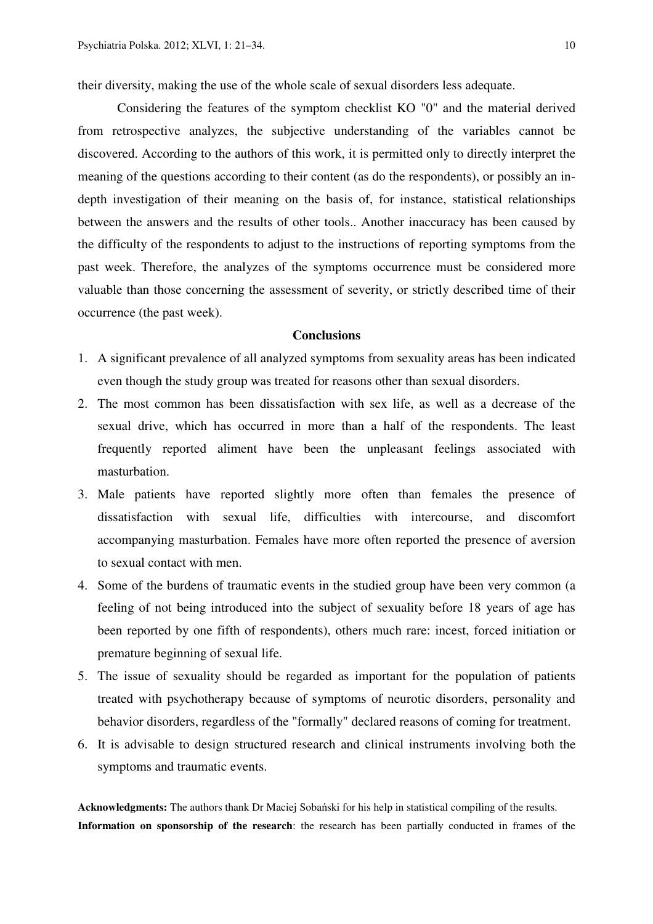their diversity, making the use of the whole scale of sexual disorders less adequate.

Considering the features of the symptom checklist KO "0" and the material derived from retrospective analyzes, the subjective understanding of the variables cannot be discovered. According to the authors of this work, it is permitted only to directly interpret the meaning of the questions according to their content (as do the respondents), or possibly an indepth investigation of their meaning on the basis of, for instance, statistical relationships between the answers and the results of other tools.. Another inaccuracy has been caused by the difficulty of the respondents to adjust to the instructions of reporting symptoms from the past week. Therefore, the analyzes of the symptoms occurrence must be considered more valuable than those concerning the assessment of severity, or strictly described time of their occurrence (the past week).

### **Conclusions**

- 1. A significant prevalence of all analyzed symptoms from sexuality areas has been indicated even though the study group was treated for reasons other than sexual disorders.
- 2. The most common has been dissatisfaction with sex life, as well as a decrease of the sexual drive, which has occurred in more than a half of the respondents. The least frequently reported aliment have been the unpleasant feelings associated with masturbation.
- 3. Male patients have reported slightly more often than females the presence of dissatisfaction with sexual life, difficulties with intercourse, and discomfort accompanying masturbation. Females have more often reported the presence of aversion to sexual contact with men.
- 4. Some of the burdens of traumatic events in the studied group have been very common (a feeling of not being introduced into the subject of sexuality before 18 years of age has been reported by one fifth of respondents), others much rare: incest, forced initiation or premature beginning of sexual life.
- 5. The issue of sexuality should be regarded as important for the population of patients treated with psychotherapy because of symptoms of neurotic disorders, personality and behavior disorders, regardless of the "formally" declared reasons of coming for treatment.
- 6. It is advisable to design structured research and clinical instruments involving both the symptoms and traumatic events.

**Acknowledgments:** The authors thank Dr Maciej Sobański for his help in statistical compiling of the results. **Information on sponsorship of the research**: the research has been partially conducted in frames of the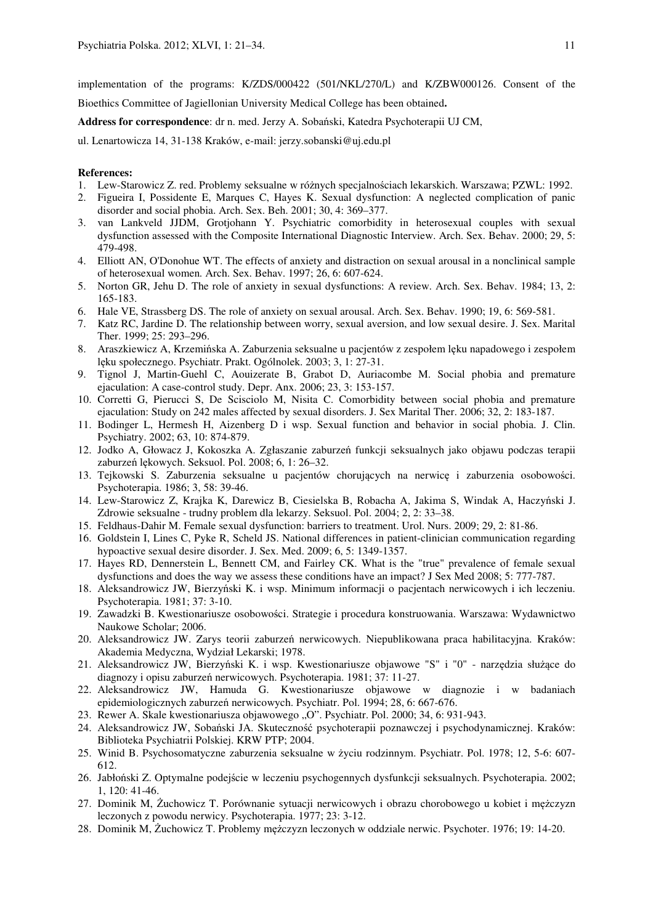implementation of the programs: K/ZDS/000422 (501/NKL/270/L) and K/ZBW000126. Consent of the Bioethics Committee of Jagiellonian University Medical College has been obtained**.** 

**Address for correspondence**: dr n. med. Jerzy A. Sobański, Katedra Psychoterapii UJ CM,

ul. Lenartowicza 14, 31-138 Kraków, e-mail: jerzy.sobanski@uj.edu.pl

#### **References:**

- 1. Lew-Starowicz Z. red. Problemy seksualne w różnych specjalnościach lekarskich. Warszawa; PZWL: 1992.
- 2. Figueira I, Possidente E, Marques C, Hayes K. Sexual dysfunction: A neglected complication of panic disorder and social phobia. Arch. Sex. Beh. 2001; 30, 4: 369–377.
- 3. van Lankveld JJDM, Grotjohann Y. Psychiatric comorbidity in heterosexual couples with sexual dysfunction assessed with the Composite International Diagnostic Interview. Arch. Sex. Behav. 2000; 29, 5: 479-498.
- 4. Elliott AN, O'Donohue WT. The effects of anxiety and distraction on sexual arousal in a nonclinical sample of heterosexual women*.* Arch. Sex. Behav. 1997; 26, 6: 607-624.
- 5. Norton GR, Jehu D. The role of anxiety in sexual dysfunctions: A review. Arch. Sex. Behav. 1984; 13, 2: 165-183.
- 6. Hale VE, Strassberg DS. The role of anxiety on sexual arousal. Arch. Sex. Behav. 1990; 19, 6: 569-581.
- 7. Katz RC, Jardine D. The relationship between worry, sexual aversion, and low sexual desire. J. Sex. Marital Ther. 1999; 25: 293–296.
- 8. Araszkiewicz A, Krzemińska A. Zaburzenia seksualne u pacjentów z zespołem lęku napadowego i zespołem lęku społecznego. Psychiatr. Prakt. Ogólnolek. 2003; 3, 1: 27-31.
- 9. Tignol J, Martin-Guehl C, Aouizerate B, Grabot D, Auriacombe M. Social phobia and premature ejaculation: A case-control study. Depr. Anx. 2006; 23, 3: 153-157.
- 10. Corretti G, Pierucci S, De Scisciolo M, Nisita C. Comorbidity between social phobia and premature ejaculation: Study on 242 males affected by sexual disorders. J. Sex Marital Ther. 2006; 32, 2: 183-187.
- 11. Bodinger L, Hermesh H, Aizenberg D i wsp. Sexual function and behavior in social phobia. J. Clin. Psychiatry. 2002; 63, 10: 874-879.
- 12. Jodko A, Głowacz J, Kokoszka A. Zgłaszanie zaburzeń funkcji seksualnych jako objawu podczas terapii zaburzeń lękowych. Seksuol. Pol. 2008; 6, 1: 26–32.
- 13. Tejkowski S. Zaburzenia seksualne u pacjentów chorujących na nerwicę i zaburzenia osobowości. Psychoterapia. 1986; 3, 58: 39-46.
- 14. Lew-Starowicz Z, Krajka K, Darewicz B, Ciesielska B, Robacha A, Jakima S, Windak A, Haczyński J. Zdrowie seksualne - trudny problem dla lekarzy. Seksuol. Pol. 2004; 2, 2: 33–38.
- 15. Feldhaus-Dahir M. Female sexual dysfunction: barriers to treatment. Urol. Nurs. 2009; 29, 2: 81-86.
- 16. Goldstein I, Lines C, Pyke R, Scheld JS. National differences in patient-clinician communication regarding hypoactive sexual desire disorder. J. Sex. Med. 2009; 6, 5: 1349-1357.
- 17. Hayes RD, Dennerstein L, Bennett CM, and Fairley CK. What is the "true" prevalence of female sexual dysfunctions and does the way we assess these conditions have an impact? J Sex Med 2008; 5: 777-787.
- 18. Aleksandrowicz JW, Bierzyński K. i wsp. Minimum informacji o pacjentach nerwicowych i ich leczeniu. Psychoterapia. 1981; 37: 3-10.
- 19. Zawadzki B. Kwestionariusze osobowości. Strategie i procedura konstruowania. Warszawa: Wydawnictwo Naukowe Scholar; 2006.
- 20. Aleksandrowicz JW. Zarys teorii zaburzeń nerwicowych. Niepublikowana praca habilitacyjna. Kraków: Akademia Medyczna, Wydział Lekarski; 1978.
- 21. Aleksandrowicz JW, Bierzyński K. i wsp. Kwestionariusze objawowe "S" i "0" narzędzia służące do diagnozy i opisu zaburzeń nerwicowych. Psychoterapia. 1981; 37: 11-27.
- 22. Aleksandrowicz JW, Hamuda G. Kwestionariusze objawowe w diagnozie i w badaniach epidemiologicznych zaburzeń nerwicowych. Psychiatr. Pol. 1994; 28, 6: 667-676.
- 23. Rewer A. Skale kwestionariusza objawowego "O". Psychiatr. Pol. 2000; 34, 6: 931-943.
- 24. Aleksandrowicz JW, Sobański JA. Skuteczność psychoterapii poznawczej i psychodynamicznej. Kraków: Biblioteka Psychiatrii Polskiej. KRW PTP; 2004.
- 25. Winid B. Psychosomatyczne zaburzenia seksualne w życiu rodzinnym. Psychiatr. Pol. 1978; 12, 5-6: 607- 612.
- 26. Jabłoński Z. Optymalne podejście w leczeniu psychogennych dysfunkcji seksualnych. Psychoterapia. 2002; 1, 120: 41-46.
- 27. Dominik M, Żuchowicz T. Porównanie sytuacji nerwicowych i obrazu chorobowego u kobiet i mężczyzn leczonych z powodu nerwicy. Psychoterapia. 1977; 23: 3-12.
- 28. Dominik M, Żuchowicz T. Problemy mężczyzn leczonych w oddziale nerwic. Psychoter. 1976; 19: 14-20.